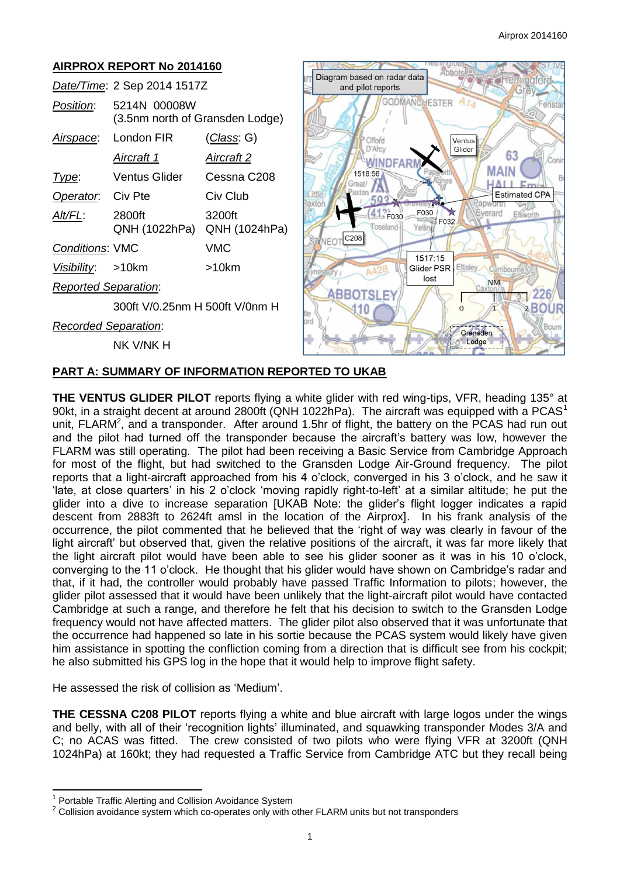63

 $Em<sub>k</sub>$ 

**Estimated CPA** 

Elswort

226 2BOUR

#### **AIRPROX REPORT No 2014160** Abbots Diagram based on radar data *Date/Time*: 2 Sep 2014 1517Z and pilot reports GODMANCHESTER *Position*: 5214N 00008W (3.5nm north of Gransden Lodge) *Airspace*: London FIR (*Class*: G) Offord Ventus D'Arcy Glider *Aircraft 1 Aircraft 2* **WINDF MAIN** 1516:56 *Type*: Ventus Glider Cessna C208 Great/ **HALL**  $\mathcal{N}$ axtor **Operator:** Civ Pte Civ Club l ittle 593 axto ÷ 41 F030 F030 erard *Alt/FL*: 2800ft 3200ft F032 Toseland Yelli QNH (1022hPa) QNH (1024hPa) C208 **JFOT** *Conditions*: VMC VMC 1517:15 *Visibility*: >10km >10km Glider PSR Eltisley lost **NM** *Reported Separation*: ABBOTSLEY 300ft V/0.25nm H 500ft V/0nm H  $110$  $\Omega$ *Recorded Separation*: Gransden Lodge NK V/NK H

# **PART A: SUMMARY OF INFORMATION REPORTED TO UKAB**

**THE VENTUS GLIDER PILOT** reports flying a white glider with red wing-tips, VFR, heading 135° at 90kt, in a straight decent at around 2800ft (QNH 1022hPa). The aircraft was equipped with a PCAS<sup>1</sup> unit, FLARM<sup>2</sup>, and a transponder. After around 1.5hr of flight, the battery on the PCAS had run out and the pilot had turned off the transponder because the aircraft's battery was low, however the FLARM was still operating. The pilot had been receiving a Basic Service from Cambridge Approach for most of the flight, but had switched to the Gransden Lodge Air-Ground frequency. The pilot reports that a light-aircraft approached from his 4 o'clock, converged in his 3 o'clock, and he saw it 'late, at close quarters' in his 2 o'clock 'moving rapidly right-to-left' at a similar altitude; he put the glider into a dive to increase separation [UKAB Note: the glider's flight logger indicates a rapid descent from 2883ft to 2624ft amsl in the location of the Airprox]. In his frank analysis of the occurrence, the pilot commented that he believed that the 'right of way was clearly in favour of the light aircraft' but observed that, given the relative positions of the aircraft, it was far more likely that the light aircraft pilot would have been able to see his glider sooner as it was in his 10 o'clock, converging to the 11 o'clock. He thought that his glider would have shown on Cambridge's radar and that, if it had, the controller would probably have passed Traffic Information to pilots; however, the glider pilot assessed that it would have been unlikely that the light-aircraft pilot would have contacted Cambridge at such a range, and therefore he felt that his decision to switch to the Gransden Lodge frequency would not have affected matters. The glider pilot also observed that it was unfortunate that the occurrence had happened so late in his sortie because the PCAS system would likely have given him assistance in spotting the confliction coming from a direction that is difficult see from his cockpit; he also submitted his GPS log in the hope that it would help to improve flight safety.

He assessed the risk of collision as 'Medium'.

**THE CESSNA C208 PILOT** reports flying a white and blue aircraft with large logos under the wings and belly, with all of their 'recognition lights' illuminated, and squawking transponder Modes 3/A and C; no ACAS was fitted. The crew consisted of two pilots who were flying VFR at 3200ft (QNH 1024hPa) at 160kt; they had requested a Traffic Service from Cambridge ATC but they recall being

 $\overline{\phantom{a}}$ 

<sup>1</sup> Portable Traffic Alerting and Collision Avoidance System

 $2$  Collision avoidance system which co-operates only with other FLARM units but not transponders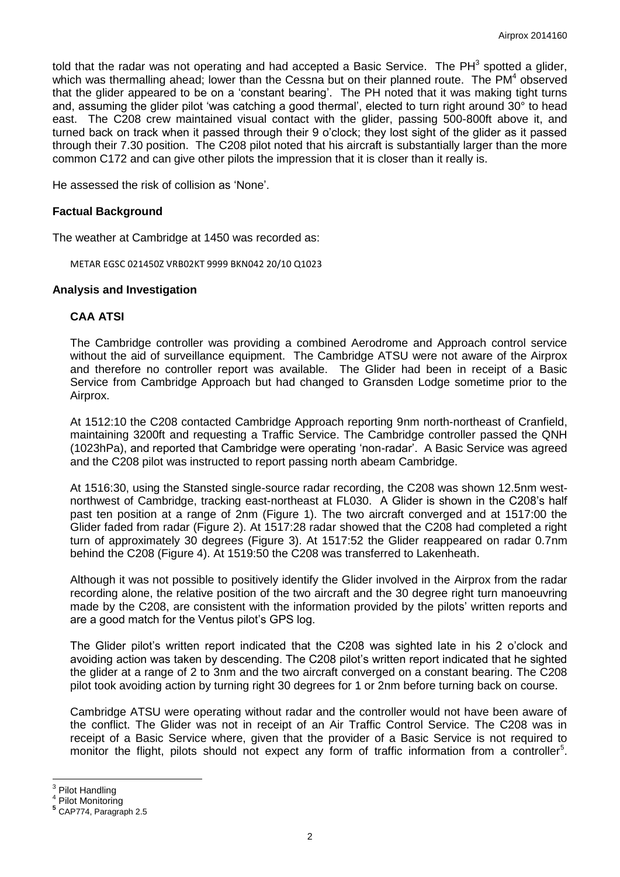told that the radar was not operating and had accepted a Basic Service. The PH<sup>3</sup> spotted a glider, which was thermalling ahead; lower than the Cessna but on their planned route. The PM $4$  observed that the glider appeared to be on a 'constant bearing'. The PH noted that it was making tight turns and, assuming the glider pilot 'was catching a good thermal', elected to turn right around 30° to head east. The C208 crew maintained visual contact with the glider, passing 500-800ft above it, and turned back on track when it passed through their 9 o'clock; they lost sight of the glider as it passed through their 7.30 position. The C208 pilot noted that his aircraft is substantially larger than the more common C172 and can give other pilots the impression that it is closer than it really is.

He assessed the risk of collision as 'None'.

#### **Factual Background**

The weather at Cambridge at 1450 was recorded as:

METAR EGSC 021450Z VRB02KT 9999 BKN042 20/10 Q1023

#### **Analysis and Investigation**

#### **CAA ATSI**

The Cambridge controller was providing a combined Aerodrome and Approach control service without the aid of surveillance equipment. The Cambridge ATSU were not aware of the Airprox and therefore no controller report was available. The Glider had been in receipt of a Basic Service from Cambridge Approach but had changed to Gransden Lodge sometime prior to the Airprox.

At 1512:10 the C208 contacted Cambridge Approach reporting 9nm north-northeast of Cranfield, maintaining 3200ft and requesting a Traffic Service. The Cambridge controller passed the QNH (1023hPa), and reported that Cambridge were operating 'non-radar'. A Basic Service was agreed and the C208 pilot was instructed to report passing north abeam Cambridge.

At 1516:30, using the Stansted single-source radar recording, the C208 was shown 12.5nm westnorthwest of Cambridge, tracking east-northeast at FL030. A Glider is shown in the C208's half past ten position at a range of 2nm (Figure 1). The two aircraft converged and at 1517:00 the Glider faded from radar (Figure 2). At 1517:28 radar showed that the C208 had completed a right turn of approximately 30 degrees (Figure 3). At 1517:52 the Glider reappeared on radar 0.7nm behind the C208 (Figure 4). At 1519:50 the C208 was transferred to Lakenheath.

Although it was not possible to positively identify the Glider involved in the Airprox from the radar recording alone, the relative position of the two aircraft and the 30 degree right turn manoeuvring made by the C208, are consistent with the information provided by the pilots' written reports and are a good match for the Ventus pilot's GPS log.

The Glider pilot's written report indicated that the C208 was sighted late in his 2 o'clock and avoiding action was taken by descending. The C208 pilot's written report indicated that he sighted the glider at a range of 2 to 3nm and the two aircraft converged on a constant bearing. The C208 pilot took avoiding action by turning right 30 degrees for 1 or 2nm before turning back on course.

Cambridge ATSU were operating without radar and the controller would not have been aware of the conflict. The Glider was not in receipt of an Air Traffic Control Service. The C208 was in receipt of a Basic Service where, given that the provider of a Basic Service is not required to monitor the flight, pilots should not expect any form of traffic information from a controller<sup>5</sup>.

<sup>&</sup>lt;sup>3</sup><br><sup>3</sup> Pilot Handling<br><sup>4</sup> Pilot Meniterin

Pilot Monitoring

**<sup>5</sup>** CAP774, Paragraph 2.5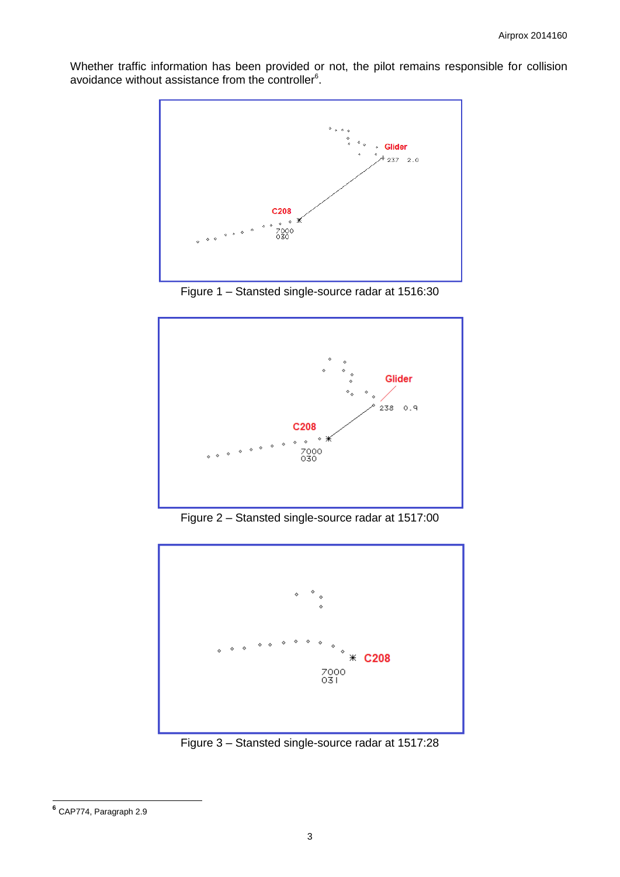Whether traffic information has been provided or not, the pilot remains responsible for collision avoidance without assistance from the controller<sup>6</sup>.



Figure 1 – Stansted single-source radar at 1516:30



Figure 2 – Stansted single-source radar at 1517:00



Figure 3 – Stansted single-source radar at 1517:28

 **6** CAP774, Paragraph 2.9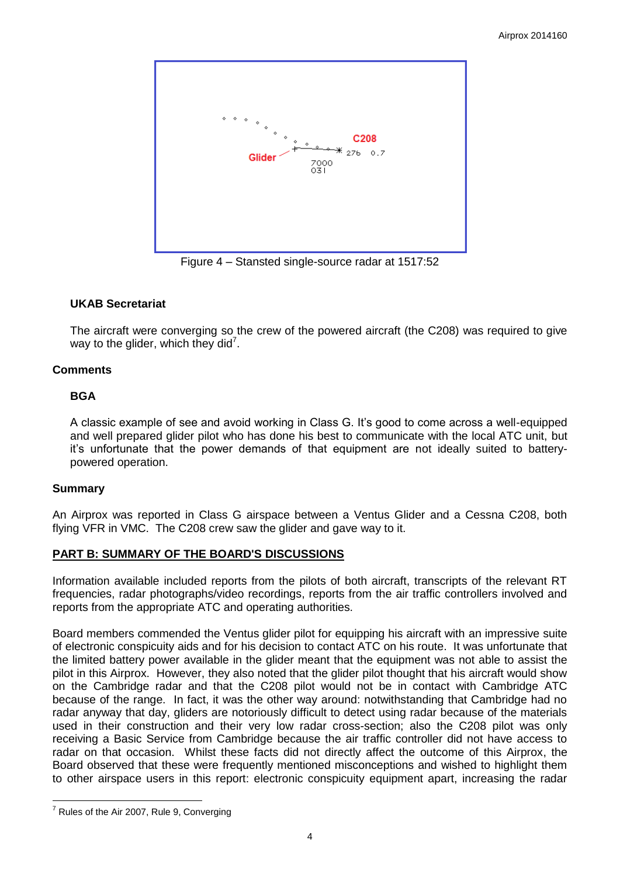

Figure 4 – Stansted single-source radar at 1517:52

# **UKAB Secretariat**

The aircraft were converging so the crew of the powered aircraft (the C208) was required to give way to the glider, which they did<sup>7</sup>.

# **Comments**

# **BGA**

A classic example of see and avoid working in Class G. It's good to come across a well-equipped and well prepared glider pilot who has done his best to communicate with the local ATC unit, but it's unfortunate that the power demands of that equipment are not ideally suited to batterypowered operation.

#### **Summary**

 $\overline{a}$ 

An Airprox was reported in Class G airspace between a Ventus Glider and a Cessna C208, both flying VFR in VMC. The C208 crew saw the glider and gave way to it.

# **PART B: SUMMARY OF THE BOARD'S DISCUSSIONS**

Information available included reports from the pilots of both aircraft, transcripts of the relevant RT frequencies, radar photographs/video recordings, reports from the air traffic controllers involved and reports from the appropriate ATC and operating authorities.

Board members commended the Ventus glider pilot for equipping his aircraft with an impressive suite of electronic conspicuity aids and for his decision to contact ATC on his route. It was unfortunate that the limited battery power available in the glider meant that the equipment was not able to assist the pilot in this Airprox. However, they also noted that the glider pilot thought that his aircraft would show on the Cambridge radar and that the C208 pilot would not be in contact with Cambridge ATC because of the range. In fact, it was the other way around: notwithstanding that Cambridge had no radar anyway that day, gliders are notoriously difficult to detect using radar because of the materials used in their construction and their very low radar cross-section; also the C208 pilot was only receiving a Basic Service from Cambridge because the air traffic controller did not have access to radar on that occasion. Whilst these facts did not directly affect the outcome of this Airprox, the Board observed that these were frequently mentioned misconceptions and wished to highlight them to other airspace users in this report: electronic conspicuity equipment apart, increasing the radar

 $7$  Rules of the Air 2007, Rule 9, Converging